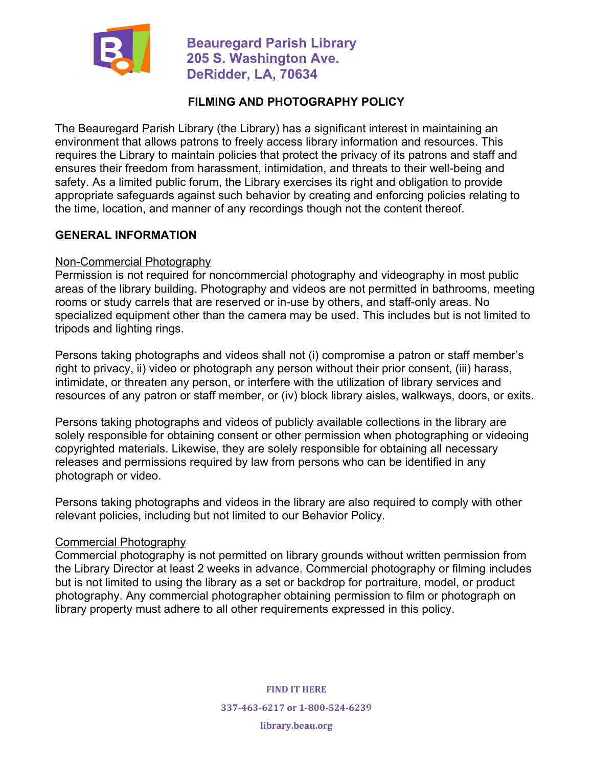

 **Beauregard Parish Library 205 S. Washington Ave. DeRidder, LA, 70634**

### **FILMING AND PHOTOGRAPHY POLICY**

The Beauregard Parish Library (the Library) has a significant interest in maintaining an environment that allows patrons to freely access library information and resources. This requires the Library to maintain policies that protect the privacy of its patrons and staff and ensures their freedom from harassment, intimidation, and threats to their well-being and safety. As a limited public forum, the Library exercises its right and obligation to provide appropriate safeguards against such behavior by creating and enforcing policies relating to the time, location, and manner of any recordings though not the content thereof.

#### **GENERAL INFORMATION**

#### Non-Commercial Photography

Permission is not required for noncommercial photography and videography in most public areas of the library building. Photography and videos are not permitted in bathrooms, meeting rooms or study carrels that are reserved or in-use by others, and staff-only areas. No specialized equipment other than the camera may be used. This includes but is not limited to tripods and lighting rings.

Persons taking photographs and videos shall not (i) compromise a patron or staff member's right to privacy, ii) video or photograph any person without their prior consent, (iii) harass, intimidate, or threaten any person, or interfere with the utilization of library services and resources of any patron or staff member, or (iv) block library aisles, walkways, doors, or exits.

Persons taking photographs and videos of publicly available collections in the library are solely responsible for obtaining consent or other permission when photographing or videoing copyrighted materials. Likewise, they are solely responsible for obtaining all necessary releases and permissions required by law from persons who can be identified in any photograph or video.

Persons taking photographs and videos in the library are also required to comply with other relevant policies, including but not limited to our Behavior Policy.

#### Commercial Photography

Commercial photography is not permitted on library grounds without written permission from the Library Director at least 2 weeks in advance. Commercial photography or filming includes but is not limited to using the library as a set or backdrop for portraiture, model, or product photography. Any commercial photographer obtaining permission to film or photograph on library property must adhere to all other requirements expressed in this policy.

> **FIND IT HERE 337-463-6217 or 1-800-524-6239**

**library.beau.org**